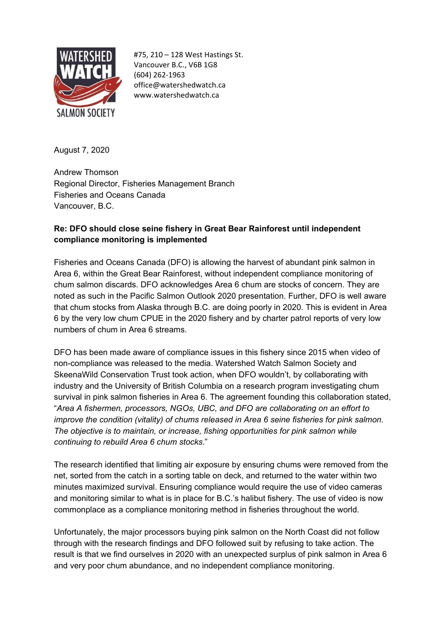

#75, 210 – 128 West Hastings St. Vancouver B.C., V6B 1G8 (604) 262-1963 office@watershedwatch.ca www.watershedwatch.ca

August 7, 2020

Andrew Thomson Regional Director, Fisheries Management Branch Fisheries and Oceans Canada Vancouver, B.C.

## **Re: DFO should close seine fishery in Great Bear Rainforest until independent compliance monitoring is implemented**

Fisheries and Oceans Canada (DFO) is allowing the harvest of abundant pink salmon in Area 6, within the Great Bear Rainforest, without independent compliance monitoring of chum salmon discards. DFO acknowledges Area 6 chum are stocks of concern. They are noted as such in the Pacific Salmon Outlook 2020 presentation. Further, DFO is well aware that chum stocks from Alaska through B.C. are doing poorly in 2020. This is evident in Area 6 by the very low chum CPUE in the 2020 fishery and by charter patrol reports of very low numbers of chum in Area 6 streams.

DFO has been made aware of compliance issues in this fishery since 2015 when video of non-compliance was released to the media. Watershed Watch Salmon Society and SkeenaWild Conservation Trust took action, when DFO wouldn't, by collaborating with industry and the University of British Columbia on a research program investigating chum survival in pink salmon fisheries in Area 6. The agreement founding this collaboration stated, "*Area A fishermen, processors, NGOs, UBC, and DFO are collaborating on an effort to improve the condition (vitality) of chums released in Area 6 seine fisheries for pink salmon. The objective is to maintain, or increase, fishing opportunities for pink salmon while continuing to rebuild Area 6 chum stocks*."

The research identified that limiting air exposure by ensuring chums were removed from the net, sorted from the catch in a sorting table on deck, and returned to the water within two minutes maximized survival. Ensuring compliance would require the use of video cameras and monitoring similar to what is in place for B.C.'s halibut fishery. The use of video is now commonplace as a compliance monitoring method in fisheries throughout the world.

Unfortunately, the major processors buying pink salmon on the North Coast did not follow through with the research findings and DFO followed suit by refusing to take action. The result is that we find ourselves in 2020 with an unexpected surplus of pink salmon in Area 6 and very poor chum abundance, and no independent compliance monitoring.